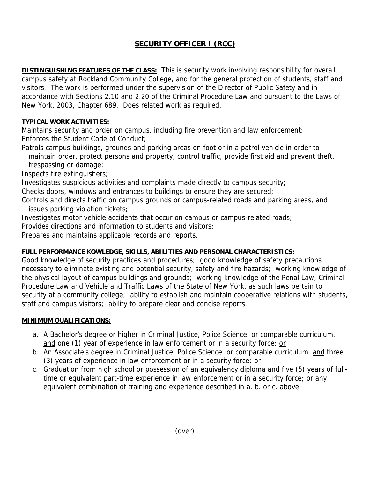# **SECURITY OFFICER I (RCC)**

**DISTINGUISHING FEATURES OF THE CLASS:** This is security work involving responsibility for overall campus safety at Rockland Community College, and for the general protection of students, staff and visitors. The work is performed under the supervision of the Director of Public Safety and in accordance with Sections 2.10 and 2.20 of the Criminal Procedure Law and pursuant to the Laws of New York, 2003, Chapter 689. Does related work as required.

## **TYPICAL WORK ACTIVITIES:**

Maintains security and order on campus, including fire prevention and law enforcement; Enforces the Student Code of Conduct;

Patrols campus buildings, grounds and parking areas on foot or in a patrol vehicle in order to maintain order, protect persons and property, control traffic, provide first aid and prevent theft,

trespassing or damage;

Inspects fire extinguishers;

Investigates suspicious activities and complaints made directly to campus security;

Checks doors, windows and entrances to buildings to ensure they are secured;

Controls and directs traffic on campus grounds or campus-related roads and parking areas, and issues parking violation tickets;

Investigates motor vehicle accidents that occur on campus or campus-related roads;

Provides directions and information to students and visitors;

Prepares and maintains applicable records and reports.

## **FULL PERFORMANCE KOWLEDGE, SKILLS, ABILITIES AND PERSONAL CHARACTERISTICS:**

Good knowledge of security practices and procedures; good knowledge of safety precautions necessary to eliminate existing and potential security, safety and fire hazards; working knowledge of the physical layout of campus buildings and grounds; working knowledge of the Penal Law, Criminal Procedure Law and Vehicle and Traffic Laws of the State of New York, as such laws pertain to security at a community college; ability to establish and maintain cooperative relations with students, staff and campus visitors; ability to prepare clear and concise reports.

## **MINIMUM QUALIFICATIONS:**

- a. A Bachelor's degree or higher in Criminal Justice, Police Science, or comparable curriculum, and one (1) year of experience in law enforcement or in a security force; or
- b. An Associate's degree in Criminal Justice, Police Science, or comparable curriculum, and three (3) years of experience in law enforcement or in a security force; or
- c. Graduation from high school or possession of an equivalency diploma and five (5) years of fulltime or equivalent part-time experience in law enforcement or in a security force; or any equivalent combination of training and experience described in a. b. or c. above.